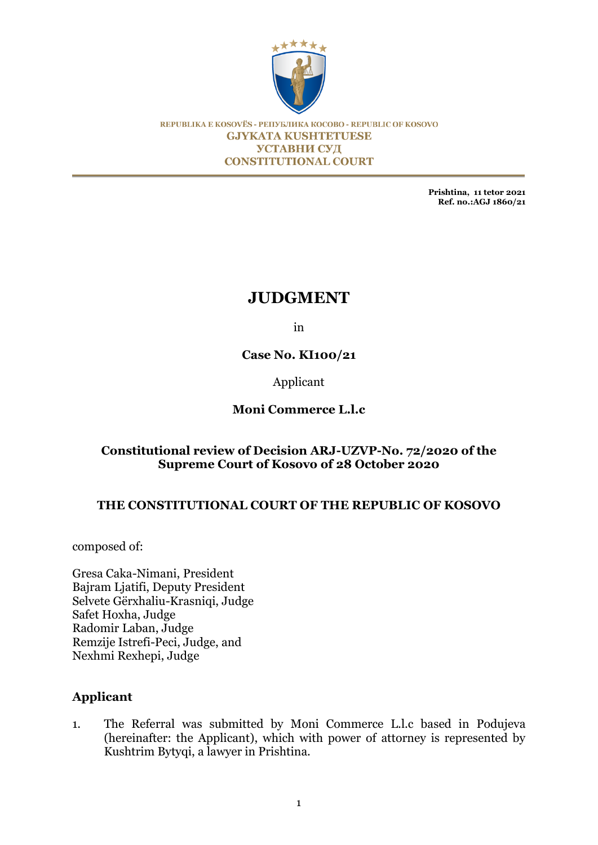

REPUBLIKA E KOSOVËS - РЕПУБЛИКА КОСОВО - REPUBLIC OF KOSOVO **GJYKATA KUSHTETUESE УСТАВНИ СУД CONSTITUTIONAL COURT** 

> **Prishtina, 11 tetor 2021 Ref. no.:AGJ 1860/21**

# **JUDGMENT**

in

**Case No. KI100/21**

Applicant

## **Moni Commerce L.l.c**

## **Constitutional review of Decision ARJ-UZVP-No. 72/2020 of the Supreme Court of Kosovo of 28 October 2020**

## **THE CONSTITUTIONAL COURT OF THE REPUBLIC OF KOSOVO**

composed of:

Gresa Caka-Nimani, President Bajram Ljatifi, Deputy President Selvete Gërxhaliu-Krasniqi, Judge Safet Hoxha, Judge Radomir Laban, Judge Remzije Istrefi-Peci, Judge, and Nexhmi Rexhepi, Judge

## **Applicant**

1. The Referral was submitted by Moni Commerce L.l.c based in Podujeva (hereinafter: the Applicant), which with power of attorney is represented by Kushtrim Bytyqi, a lawyer in Prishtina.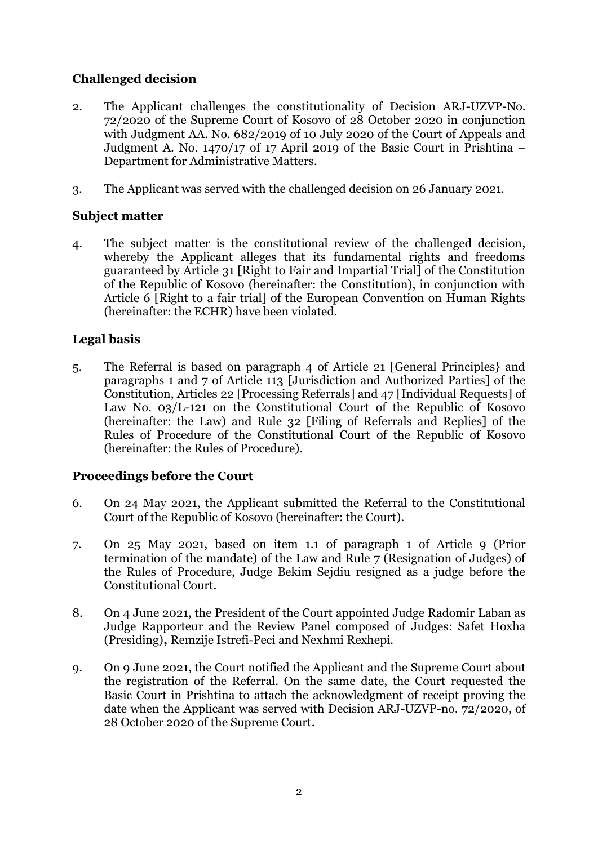## **Challenged decision**

- 2. The Applicant challenges the constitutionality of Decision ARJ-UZVP-No. 72/2020 of the Supreme Court of Kosovo of 28 October 2020 in conjunction with Judgment AA. No. 682/2019 of 10 July 2020 of the Court of Appeals and Judgment A. No. 1470/17 of 17 April 2019 of the Basic Court in Prishtina – Department for Administrative Matters.
- 3. The Applicant was served with the challenged decision on 26 January 2021.

## **Subject matter**

4. The subject matter is the constitutional review of the challenged decision, whereby the Applicant alleges that its fundamental rights and freedoms guaranteed by Article 31 [Right to Fair and Impartial Trial] of the Constitution of the Republic of Kosovo (hereinafter: the Constitution), in conjunction with Article 6 [Right to a fair trial] of the European Convention on Human Rights (hereinafter: the ECHR) have been violated.

## **Legal basis**

5. The Referral is based on paragraph 4 of Article 21 [General Principles} and paragraphs 1 and 7 of Article 113 [Jurisdiction and Authorized Parties] of the Constitution, Articles 22 [Processing Referrals] and 47 [Individual Requests] of Law No. 03/L-121 on the Constitutional Court of the Republic of Kosovo (hereinafter: the Law) and Rule 32 [Filing of Referrals and Replies] of the Rules of Procedure of the Constitutional Court of the Republic of Kosovo (hereinafter: the Rules of Procedure).

## **Proceedings before the Court**

- 6. On 24 May 2021, the Applicant submitted the Referral to the Constitutional Court of the Republic of Kosovo (hereinafter: the Court).
- 7. On 25 May 2021, based on item 1.1 of paragraph 1 of Article 9 (Prior termination of the mandate) of the Law and Rule 7 (Resignation of Judges) of the Rules of Procedure, Judge Bekim Sejdiu resigned as a judge before the Constitutional Court.
- 8. On 4 June 2021, the President of the Court appointed Judge Radomir Laban as Judge Rapporteur and the Review Panel composed of Judges: Safet Hoxha (Presiding)**,** Remzije Istrefi-Peci and Nexhmi Rexhepi.
- 9. On 9 June 2021, the Court notified the Applicant and the Supreme Court about the registration of the Referral. On the same date, the Court requested the Basic Court in Prishtina to attach the acknowledgment of receipt proving the date when the Applicant was served with Decision ARJ-UZVP-no. 72/2020, of 28 October 2020 of the Supreme Court.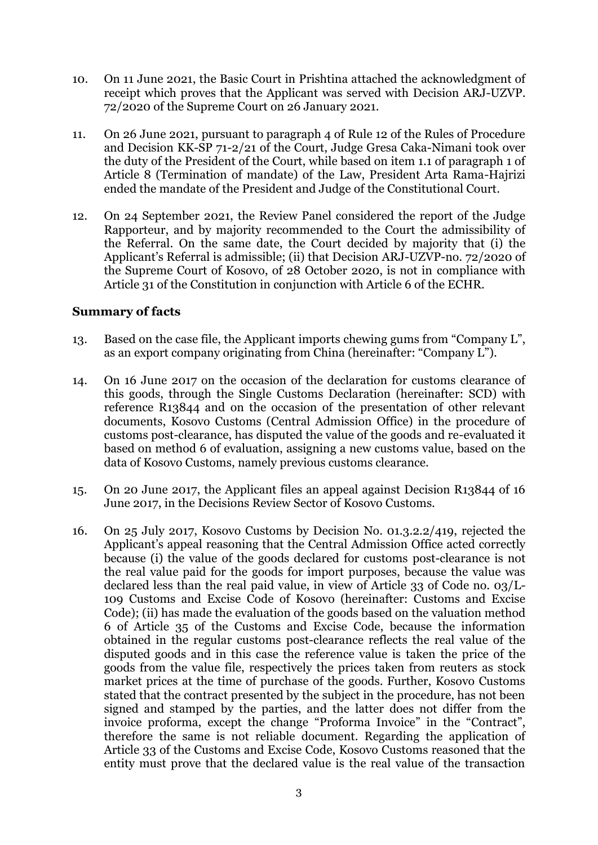- 10. On 11 June 2021, the Basic Court in Prishtina attached the acknowledgment of receipt which proves that the Applicant was served with Decision ARJ-UZVP. 72/2020 of the Supreme Court on 26 January 2021.
- 11. On 26 June 2021, pursuant to paragraph 4 of Rule 12 of the Rules of Procedure and Decision KK-SP 71-2/21 of the Court, Judge Gresa Caka-Nimani took over the duty of the President of the Court, while based on item 1.1 of paragraph 1 of Article 8 (Termination of mandate) of the Law, President Arta Rama-Hajrizi ended the mandate of the President and Judge of the Constitutional Court.
- 12. On 24 September 2021, the Review Panel considered the report of the Judge Rapporteur, and by majority recommended to the Court the admissibility of the Referral. On the same date, the Court decided by majority that (i) the Applicant's Referral is admissible; (ii) that Decision ARJ-UZVP-no. 72/2020 of the Supreme Court of Kosovo, of 28 October 2020, is not in compliance with Article 31 of the Constitution in conjunction with Article 6 of the ECHR.

## **Summary of facts**

- 13. Based on the case file, the Applicant imports chewing gums from "Company L", as an export company originating from China (hereinafter: "Company L").
- 14. On 16 June 2017 on the occasion of the declaration for customs clearance of this goods, through the Single Customs Declaration (hereinafter: SCD) with reference R13844 and on the occasion of the presentation of other relevant documents, Kosovo Customs (Central Admission Office) in the procedure of customs post-clearance, has disputed the value of the goods and re-evaluated it based on method 6 of evaluation, assigning a new customs value, based on the data of Kosovo Customs, namely previous customs clearance.
- 15. On 20 June 2017, the Applicant files an appeal against Decision R13844 of 16 June 2017, in the Decisions Review Sector of Kosovo Customs.
- 16. On 25 July 2017, Kosovo Customs by Decision No. 01.3.2.2/419, rejected the Applicant's appeal reasoning that the Central Admission Office acted correctly because (i) the value of the goods declared for customs post-clearance is not the real value paid for the goods for import purposes, because the value was declared less than the real paid value, in view of Article 33 of Code no. 03/L-109 Customs and Excise Code of Kosovo (hereinafter: Customs and Excise Code); (ii) has made the evaluation of the goods based on the valuation method 6 of Article 35 of the Customs and Excise Code, because the information obtained in the regular customs post-clearance reflects the real value of the disputed goods and in this case the reference value is taken the price of the goods from the value file, respectively the prices taken from reuters as stock market prices at the time of purchase of the goods. Further, Kosovo Customs stated that the contract presented by the subject in the procedure, has not been signed and stamped by the parties, and the latter does not differ from the invoice proforma, except the change "Proforma Invoice" in the "Contract", therefore the same is not reliable document. Regarding the application of Article 33 of the Customs and Excise Code, Kosovo Customs reasoned that the entity must prove that the declared value is the real value of the transaction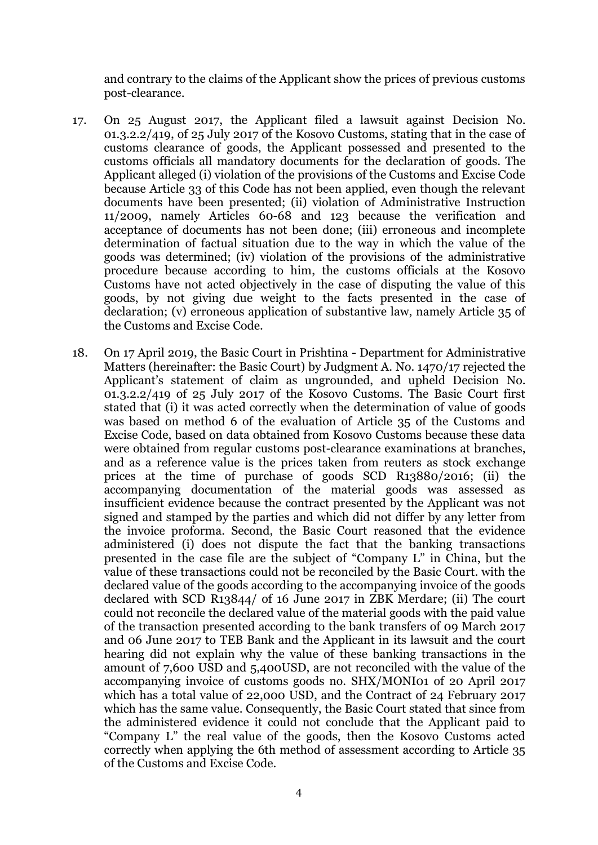and contrary to the claims of the Applicant show the prices of previous customs post-clearance.

- 17. On 25 August 2017, the Applicant filed a lawsuit against Decision No. 01.3.2.2/419, of 25 July 2017 of the Kosovo Customs, stating that in the case of customs clearance of goods, the Applicant possessed and presented to the customs officials all mandatory documents for the declaration of goods. The Applicant alleged (i) violation of the provisions of the Customs and Excise Code because Article 33 of this Code has not been applied, even though the relevant documents have been presented; (ii) violation of Administrative Instruction 11/2009, namely Articles 60-68 and 123 because the verification and acceptance of documents has not been done; (iii) erroneous and incomplete determination of factual situation due to the way in which the value of the goods was determined; (iv) violation of the provisions of the administrative procedure because according to him, the customs officials at the Kosovo Customs have not acted objectively in the case of disputing the value of this goods, by not giving due weight to the facts presented in the case of declaration; (v) erroneous application of substantive law, namely Article 35 of the Customs and Excise Code.
- 18. On 17 April 2019, the Basic Court in Prishtina Department for Administrative Matters (hereinafter: the Basic Court) by Judgment A. No. 1470/17 rejected the Applicant's statement of claim as ungrounded, and upheld Decision No. 01.3.2.2/419 of 25 July 2017 of the Kosovo Customs. The Basic Court first stated that (i) it was acted correctly when the determination of value of goods was based on method 6 of the evaluation of Article 35 of the Customs and Excise Code, based on data obtained from Kosovo Customs because these data were obtained from regular customs post-clearance examinations at branches, and as a reference value is the prices taken from reuters as stock exchange prices at the time of purchase of goods SCD R13880/2016; (ii) the accompanying documentation of the material goods was assessed as insufficient evidence because the contract presented by the Applicant was not signed and stamped by the parties and which did not differ by any letter from the invoice proforma. Second, the Basic Court reasoned that the evidence administered (i) does not dispute the fact that the banking transactions presented in the case file are the subject of "Company L" in China, but the value of these transactions could not be reconciled by the Basic Court. with the declared value of the goods according to the accompanying invoice of the goods declared with SCD R13844/ of 16 June 2017 in ZBK Merdare; (ii) The court could not reconcile the declared value of the material goods with the paid value of the transaction presented according to the bank transfers of 09 March 2017 and 06 June 2017 to TEB Bank and the Applicant in its lawsuit and the court hearing did not explain why the value of these banking transactions in the amount of 7,600 USD and 5,400USD, are not reconciled with the value of the accompanying invoice of customs goods no. SHX/MONI01 of 20 April 2017 which has a total value of 22,000 USD, and the Contract of 24 February 2017 which has the same value. Consequently, the Basic Court stated that since from the administered evidence it could not conclude that the Applicant paid to "Company L" the real value of the goods, then the Kosovo Customs acted correctly when applying the 6th method of assessment according to Article 35 of the Customs and Excise Code.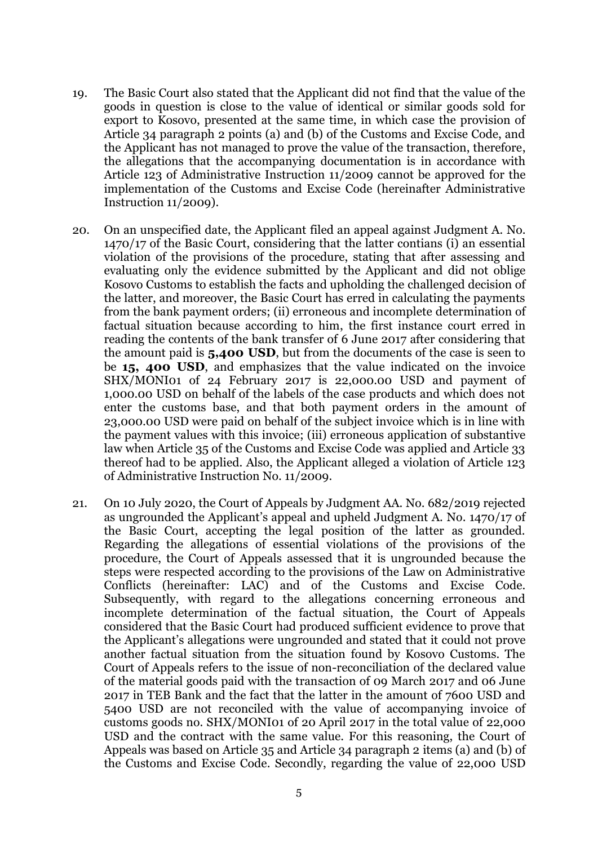- 19. The Basic Court also stated that the Applicant did not find that the value of the goods in question is close to the value of identical or similar goods sold for export to Kosovo, presented at the same time, in which case the provision of Article 34 paragraph 2 points (a) and (b) of the Customs and Excise Code, and the Applicant has not managed to prove the value of the transaction, therefore, the allegations that the accompanying documentation is in accordance with Article 123 of Administrative Instruction 11/2009 cannot be approved for the implementation of the Customs and Excise Code (hereinafter Administrative Instruction 11/2009).
- 20. On an unspecified date, the Applicant filed an appeal against Judgment A. No. 1470/17 of the Basic Court, considering that the latter contians (i) an essential violation of the provisions of the procedure, stating that after assessing and evaluating only the evidence submitted by the Applicant and did not oblige Kosovo Customs to establish the facts and upholding the challenged decision of the latter, and moreover, the Basic Court has erred in calculating the payments from the bank payment orders; (ii) erroneous and incomplete determination of factual situation because according to him, the first instance court erred in reading the contents of the bank transfer of 6 June 2017 after considering that the amount paid is **5,400 USD**, but from the documents of the case is seen to be **15, 400 USD**, and emphasizes that the value indicated on the invoice SHX/MONI01 of 24 February 2017 is 22,000.00 USD and payment of 1,000.00 USD on behalf of the labels of the case products and which does not enter the customs base, and that both payment orders in the amount of 23,000.00 USD were paid on behalf of the subject invoice which is in line with the payment values with this invoice; (iii) erroneous application of substantive law when Article 35 of the Customs and Excise Code was applied and Article 33 thereof had to be applied. Also, the Applicant alleged a violation of Article 123 of Administrative Instruction No. 11/2009.
- 21. On 10 July 2020, the Court of Appeals by Judgment AA. No. 682/2019 rejected as ungrounded the Applicant's appeal and upheld Judgment A. No. 1470/17 of the Basic Court, accepting the legal position of the latter as grounded. Regarding the allegations of essential violations of the provisions of the procedure, the Court of Appeals assessed that it is ungrounded because the steps were respected according to the provisions of the Law on Administrative Conflicts (hereinafter: LAC) and of the Customs and Excise Code. Subsequently, with regard to the allegations concerning erroneous and incomplete determination of the factual situation, the Court of Appeals considered that the Basic Court had produced sufficient evidence to prove that the Applicant's allegations were ungrounded and stated that it could not prove another factual situation from the situation found by Kosovo Customs. The Court of Appeals refers to the issue of non-reconciliation of the declared value of the material goods paid with the transaction of 09 March 2017 and 06 June 2017 in TEB Bank and the fact that the latter in the amount of 7600 USD and 5400 USD are not reconciled with the value of accompanying invoice of customs goods no. SHX/MONI01 of 20 April 2017 in the total value of 22,000 USD and the contract with the same value. For this reasoning, the Court of Appeals was based on Article 35 and Article 34 paragraph 2 items (a) and (b) of the Customs and Excise Code. Secondly, regarding the value of 22,000 USD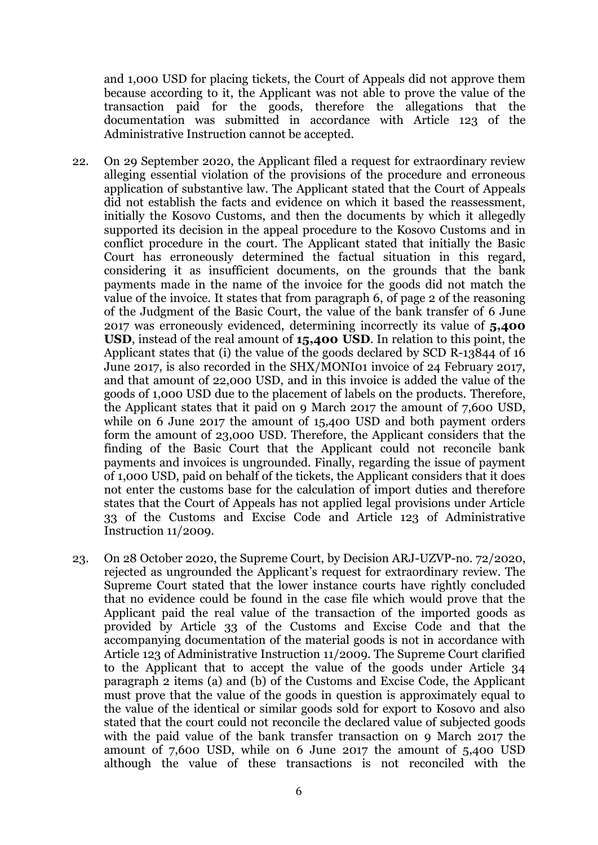and 1,000 USD for placing tickets, the Court of Appeals did not approve them because according to it, the Applicant was not able to prove the value of the transaction paid for the goods, therefore the allegations that the documentation was submitted in accordance with Article 123 of the Administrative Instruction cannot be accepted.

- 22. On 29 September 2020, the Applicant filed a request for extraordinary review alleging essential violation of the provisions of the procedure and erroneous application of substantive law. The Applicant stated that the Court of Appeals did not establish the facts and evidence on which it based the reassessment, initially the Kosovo Customs, and then the documents by which it allegedly supported its decision in the appeal procedure to the Kosovo Customs and in conflict procedure in the court. The Applicant stated that initially the Basic Court has erroneously determined the factual situation in this regard, considering it as insufficient documents, on the grounds that the bank payments made in the name of the invoice for the goods did not match the value of the invoice. It states that from paragraph 6, of page 2 of the reasoning of the Judgment of the Basic Court, the value of the bank transfer of 6 June 2017 was erroneously evidenced, determining incorrectly its value of **5,400 USD**, instead of the real amount of **15,400 USD**. In relation to this point, the Applicant states that (i) the value of the goods declared by SCD R-13844 of 16 June 2017, is also recorded in the SHX/MONI01 invoice of 24 February 2017, and that amount of 22,000 USD, and in this invoice is added the value of the goods of 1,000 USD due to the placement of labels on the products. Therefore, the Applicant states that it paid on 9 March 2017 the amount of 7,600 USD, while on 6 June 2017 the amount of 15,400 USD and both payment orders form the amount of 23,000 USD. Therefore, the Applicant considers that the finding of the Basic Court that the Applicant could not reconcile bank payments and invoices is ungrounded. Finally, regarding the issue of payment of 1,000 USD, paid on behalf of the tickets, the Applicant considers that it does not enter the customs base for the calculation of import duties and therefore states that the Court of Appeals has not applied legal provisions under Article 33 of the Customs and Excise Code and Article 123 of Administrative Instruction 11/2009.
- 23. On 28 October 2020, the Supreme Court, by Decision ARJ-UZVP-no. 72/2020, rejected as ungrounded the Applicant's request for extraordinary review. The Supreme Court stated that the lower instance courts have rightly concluded that no evidence could be found in the case file which would prove that the Applicant paid the real value of the transaction of the imported goods as provided by Article 33 of the Customs and Excise Code and that the accompanying documentation of the material goods is not in accordance with Article 123 of Administrative Instruction 11/2009. The Supreme Court clarified to the Applicant that to accept the value of the goods under Article 34 paragraph 2 items (a) and (b) of the Customs and Excise Code, the Applicant must prove that the value of the goods in question is approximately equal to the value of the identical or similar goods sold for export to Kosovo and also stated that the court could not reconcile the declared value of subjected goods with the paid value of the bank transfer transaction on 9 March 2017 the amount of 7,600 USD, while on 6 June 2017 the amount of 5,400 USD although the value of these transactions is not reconciled with the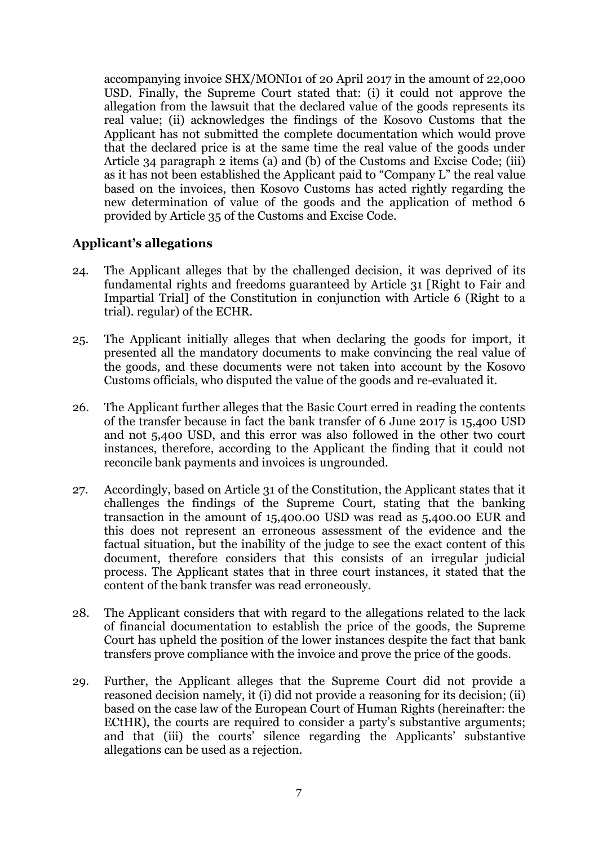accompanying invoice SHX/MONI01 of 20 April 2017 in the amount of 22,000 USD. Finally, the Supreme Court stated that: (i) it could not approve the allegation from the lawsuit that the declared value of the goods represents its real value; (ii) acknowledges the findings of the Kosovo Customs that the Applicant has not submitted the complete documentation which would prove that the declared price is at the same time the real value of the goods under Article 34 paragraph 2 items (a) and (b) of the Customs and Excise Code; (iii) as it has not been established the Applicant paid to "Company L" the real value based on the invoices, then Kosovo Customs has acted rightly regarding the new determination of value of the goods and the application of method 6 provided by Article 35 of the Customs and Excise Code.

## **Applicant's allegations**

- 24. The Applicant alleges that by the challenged decision, it was deprived of its fundamental rights and freedoms guaranteed by Article 31 [Right to Fair and Impartial Trial] of the Constitution in conjunction with Article 6 (Right to a trial). regular) of the ECHR.
- 25. The Applicant initially alleges that when declaring the goods for import, it presented all the mandatory documents to make convincing the real value of the goods, and these documents were not taken into account by the Kosovo Customs officials, who disputed the value of the goods and re-evaluated it.
- 26. The Applicant further alleges that the Basic Court erred in reading the contents of the transfer because in fact the bank transfer of 6 June 2017 is 15,400 USD and not 5,400 USD, and this error was also followed in the other two court instances, therefore, according to the Applicant the finding that it could not reconcile bank payments and invoices is ungrounded.
- 27. Accordingly, based on Article 31 of the Constitution, the Applicant states that it challenges the findings of the Supreme Court, stating that the banking transaction in the amount of 15,400.00 USD was read as 5,400.00 EUR and this does not represent an erroneous assessment of the evidence and the factual situation, but the inability of the judge to see the exact content of this document, therefore considers that this consists of an irregular judicial process. The Applicant states that in three court instances, it stated that the content of the bank transfer was read erroneously.
- 28. The Applicant considers that with regard to the allegations related to the lack of financial documentation to establish the price of the goods, the Supreme Court has upheld the position of the lower instances despite the fact that bank transfers prove compliance with the invoice and prove the price of the goods.
- 29. Further, the Applicant alleges that the Supreme Court did not provide a reasoned decision namely, it (i) did not provide a reasoning for its decision; (ii) based on the case law of the European Court of Human Rights (hereinafter: the ECtHR), the courts are required to consider a party's substantive arguments; and that (iii) the courts' silence regarding the Applicants' substantive allegations can be used as a rejection.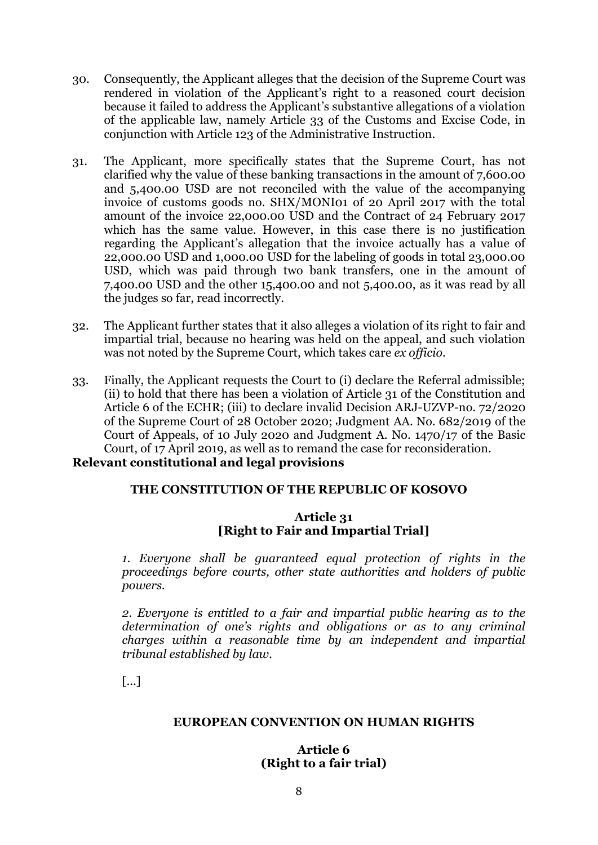- 30. Consequently, the Applicant alleges that the decision of the Supreme Court was rendered in violation of the Applicant's right to a reasoned court decision because it failed to address the Applicant's substantive allegations of a violation of the applicable law, namely Article 33 of the Customs and Excise Code, in conjunction with Article 123 of the Administrative Instruction.
- 31. The Applicant, more specifically states that the Supreme Court, has not clarified why the value of these banking transactions in the amount of 7,600.00 and 5,400.00 USD are not reconciled with the value of the accompanying invoice of customs goods no. SHX/MONI01 of 20 April 2017 with the total amount of the invoice 22,000.00 USD and the Contract of 24 February 2017 which has the same value. However, in this case there is no justification regarding the Applicant's allegation that the invoice actually has a value of 22,000.00 USD and 1,000.00 USD for the labeling of goods in total 23,000.00 USD, which was paid through two bank transfers, one in the amount of 7,400.00 USD and the other 15,400.00 and not 5,400.00, as it was read by all the judges so far, read incorrectly.
- 32. The Applicant further states that it also alleges a violation of its right to fair and impartial trial, because no hearing was held on the appeal, and such violation was not noted by the Supreme Court, which takes care *ex officio*.
- 33. Finally, the Applicant requests the Court to (i) declare the Referral admissible; (ii) to hold that there has been a violation of Article 31 of the Constitution and Article 6 of the ECHR; (iii) to declare invalid Decision ARJ-UZVP-no. 72/2020 of the Supreme Court of 28 October 2020; Judgment AA. No. 682/2019 of the Court of Appeals, of 10 July 2020 and Judgment A. No. 1470/17 of the Basic Court, of 17 April 2019, as well as to remand the case for reconsideration. **Relevant constitutional and legal provisions**

# **THE CONSTITUTION OF THE REPUBLIC OF KOSOVO**

## **Article 31 [Right to Fair and Impartial Trial]**

*1. Everyone shall be guaranteed equal protection of rights in the proceedings before courts, other state authorities and holders of public powers.*

*2. Everyone is entitled to a fair and impartial public hearing as to the determination of one's rights and obligations or as to any criminal charges within a reasonable time by an independent and impartial tribunal established by law.*

[...]

#### **EUROPEAN CONVENTION ON HUMAN RIGHTS**

#### **Article 6 (Right to a fair trial)**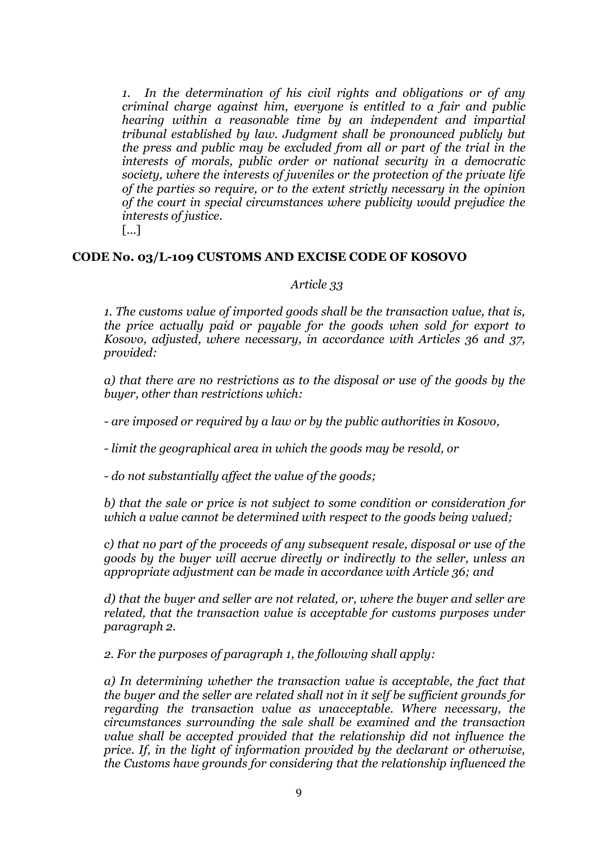*1. In the determination of his civil rights and obligations or of any criminal charge against him, everyone is entitled to a fair and public hearing within a reasonable time by an independent and impartial tribunal established by law. Judgment shall be pronounced publicly but the press and public may be excluded from all or part of the trial in the interests of morals, public order or national security in a democratic society, where the interests of juveniles or the protection of the private life of the parties so require, or to the extent strictly necessary in the opinion of the court in special circumstances where publicity would prejudice the interests of justice.*

[...]

#### **CODE No. 03/L-109 CUSTOMS AND EXCISE CODE OF KOSOVO**

#### *Article 33*

*1. The customs value of imported goods shall be the transaction value, that is, the price actually paid or payable for the goods when sold for export to Kosovo, adjusted, where necessary, in accordance with Articles 36 and 37, provided:*

*a) that there are no restrictions as to the disposal or use of the goods by the buyer, other than restrictions which:*

*- are imposed or required by a law or by the public authorities in Kosovo,*

*- limit the geographical area in which the goods may be resold, or*

*- do not substantially affect the value of the goods;*

*b) that the sale or price is not subject to some condition or consideration for which a value cannot be determined with respect to the goods being valued;*

*c) that no part of the proceeds of any subsequent resale, disposal or use of the goods by the buyer will accrue directly or indirectly to the seller, unless an appropriate adjustment can be made in accordance with Article 36; and*

*d) that the buyer and seller are not related, or, where the buyer and seller are related, that the transaction value is acceptable for customs purposes under paragraph 2.*

*2. For the purposes of paragraph 1, the following shall apply:*

*a) In determining whether the transaction value is acceptable, the fact that the buyer and the seller are related shall not in it self be sufficient grounds for regarding the transaction value as unacceptable. Where necessary, the circumstances surrounding the sale shall be examined and the transaction value shall be accepted provided that the relationship did not influence the price. If, in the light of information provided by the declarant or otherwise, the Customs have grounds for considering that the relationship influenced the*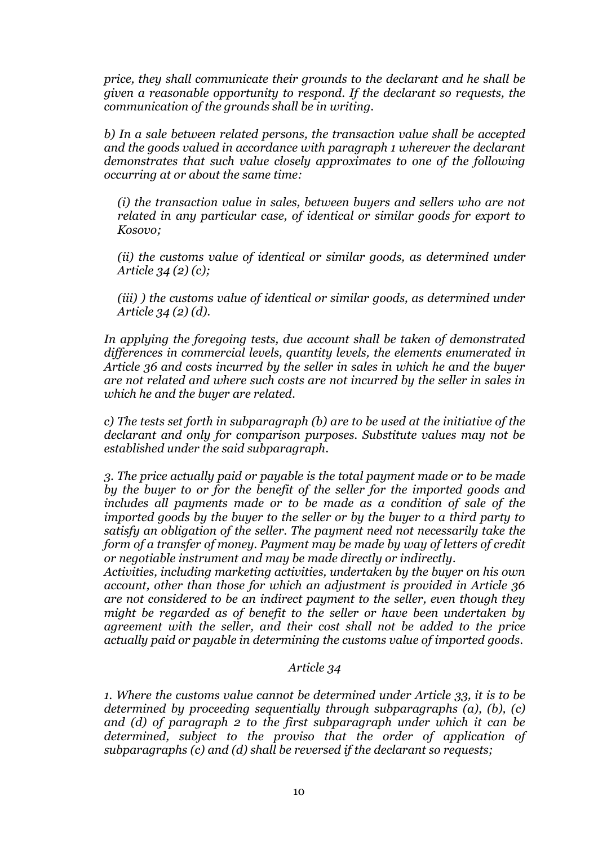*price, they shall communicate their grounds to the declarant and he shall be given a reasonable opportunity to respond. If the declarant so requests, the communication of the grounds shall be in writing.*

*b) In a sale between related persons, the transaction value shall be accepted and the goods valued in accordance with paragraph 1 wherever the declarant demonstrates that such value closely approximates to one of the following occurring at or about the same time:*

*(i) the transaction value in sales, between buyers and sellers who are not related in any particular case, of identical or similar goods for export to Kosovo;*

*(ii) the customs value of identical or similar goods, as determined under Article 34 (2) (c);*

*(iii) ) the customs value of identical or similar goods, as determined under Article 34 (2) (d).*

*In applying the foregoing tests, due account shall be taken of demonstrated differences in commercial levels, quantity levels, the elements enumerated in Article 36 and costs incurred by the seller in sales in which he and the buyer are not related and where such costs are not incurred by the seller in sales in which he and the buyer are related.*

*c) The tests set forth in subparagraph (b) are to be used at the initiative of the declarant and only for comparison purposes. Substitute values may not be established under the said subparagraph.*

*3. The price actually paid or payable is the total payment made or to be made by the buyer to or for the benefit of the seller for the imported goods and includes all payments made or to be made as a condition of sale of the imported goods by the buyer to the seller or by the buyer to a third party to satisfy an obligation of the seller. The payment need not necessarily take the form of a transfer of money. Payment may be made by way of letters of credit or negotiable instrument and may be made directly or indirectly.*

*Activities, including marketing activities, undertaken by the buyer on his own account, other than those for which an adjustment is provided in Article 36 are not considered to be an indirect payment to the seller, even though they might be regarded as of benefit to the seller or have been undertaken by agreement with the seller, and their cost shall not be added to the price actually paid or payable in determining the customs value of imported goods.*

#### *Article 34*

*1. Where the customs value cannot be determined under Article 33, it is to be determined by proceeding sequentially through subparagraphs (a), (b), (c) and (d) of paragraph 2 to the first subparagraph under which it can be determined, subject to the proviso that the order of application of subparagraphs (c) and (d) shall be reversed if the declarant so requests;*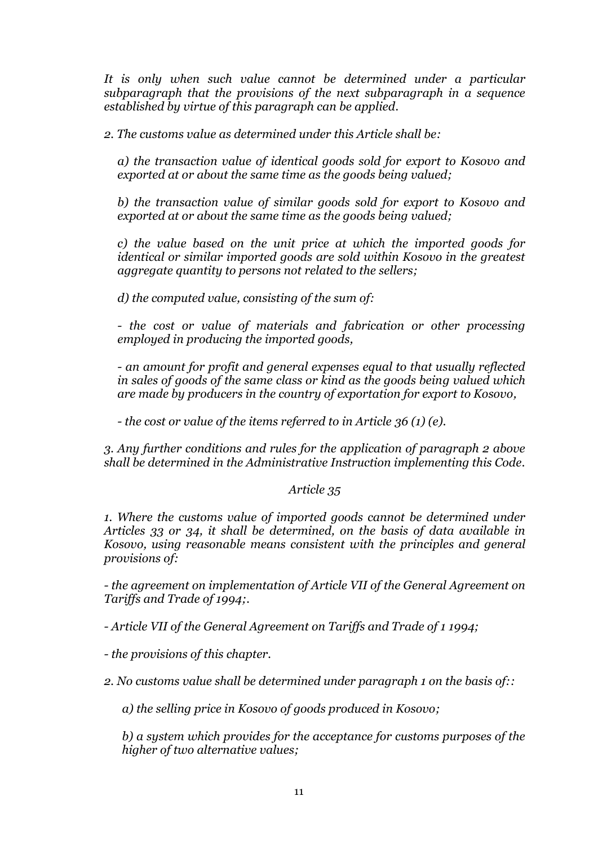*It is only when such value cannot be determined under a particular subparagraph that the provisions of the next subparagraph in a sequence established by virtue of this paragraph can be applied.*

*2. The customs value as determined under this Article shall be:*

*a) the transaction value of identical goods sold for export to Kosovo and exported at or about the same time as the goods being valued;*

*b) the transaction value of similar goods sold for export to Kosovo and exported at or about the same time as the goods being valued;*

*c) the value based on the unit price at which the imported goods for identical or similar imported goods are sold within Kosovo in the greatest aggregate quantity to persons not related to the sellers;*

*d) the computed value, consisting of the sum of:*

*- the cost or value of materials and fabrication or other processing employed in producing the imported goods,*

*- an amount for profit and general expenses equal to that usually reflected in sales of goods of the same class or kind as the goods being valued which are made by producers in the country of exportation for export to Kosovo,*

*- the cost or value of the items referred to in Article 36 (1) (e).*

*3. Any further conditions and rules for the application of paragraph 2 above shall be determined in the Administrative Instruction implementing this Code.*

#### *Article 35*

*1. Where the customs value of imported goods cannot be determined under Articles 33 or 34, it shall be determined, on the basis of data available in Kosovo, using reasonable means consistent with the principles and general provisions of:*

*- the agreement on implementation of Article VII of the General Agreement on Tariffs and Trade of 1994;.*

*- Article VII of the General Agreement on Tariffs and Trade of 1 1994;*

*- the provisions of this chapter.*

*2. No customs value shall be determined under paragraph 1 on the basis of::*

*a) the selling price in Kosovo of goods produced in Kosovo;*

*b) a system which provides for the acceptance for customs purposes of the higher of two alternative values;*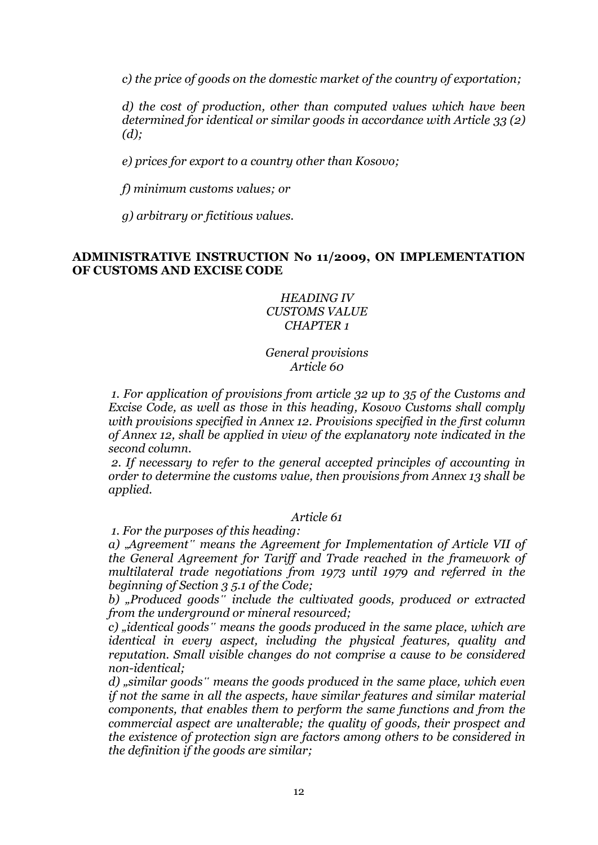*c) the price of goods on the domestic market of the country of exportation;*

*d) the cost of production, other than computed values which have been determined for identical or similar goods in accordance with Article 33 (2) (d);*

*e) prices for export to a country other than Kosovo;*

*f) minimum customs values; or*

*g) arbitrary or fictitious values.*

## **ADMINISTRATIVE INSTRUCTION No 11/2009, ON IMPLEMENTATION OF CUSTOMS AND EXCISE CODE**

### *HEADING IV CUSTOMS VALUE CHAPTER 1*

*General provisions Article 60*

*1. For application of provisions from article 32 up to 35 of the Customs and Excise Code, as well as those in this heading, Kosovo Customs shall comply with provisions specified in Annex 12. Provisions specified in the first column of Annex 12, shall be applied in view of the explanatory note indicated in the second column.* 

*2. If necessary to refer to the general accepted principles of accounting in order to determine the customs value, then provisions from Annex 13 shall be applied.*

## *Article 61*

*1. For the purposes of this heading:*

*a)* "*Agreement" means the Agreement for Implementation of Article VII of the General Agreement for Tariff and Trade reached in the framework of multilateral trade negotiations from 1973 until 1979 and referred in the beginning of Section 3 5.1 of the Code;* 

*b) "Produced goods" include the cultivated goods, produced or extracted from the underground or mineral resourced;* 

*c) "identical goods" means the goods produced in the same place, which are identical in every aspect, including the physical features, quality and reputation. Small visible changes do not comprise a cause to be considered non-identical;* 

*d) "similar goods" means the goods produced in the same place, which even if not the same in all the aspects, have similar features and similar material components, that enables them to perform the same functions and from the commercial aspect are unalterable; the quality of goods, their prospect and the existence of protection sign are factors among others to be considered in the definition if the goods are similar;*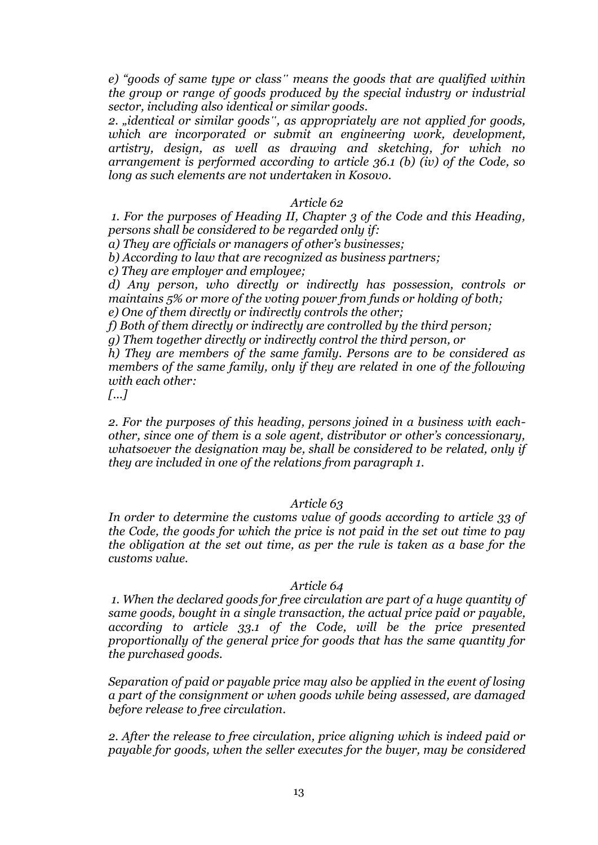*e) "goods of same type or class" means the goods that are qualified within the group or range of goods produced by the special industry or industrial sector, including also identical or similar goods.*

*2. "identical or similar goods", as appropriately are not applied for goods, which are incorporated or submit an engineering work, development, artistry, design, as well as drawing and sketching, for which no arrangement is performed according to article 36.1 (b) (iv) of the Code, so long as such elements are not undertaken in Kosovo.*

#### *Article 62*

*1. For the purposes of Heading II, Chapter 3 of the Code and this Heading, persons shall be considered to be regarded only if:*

*a) They are officials or managers of other's businesses;* 

*b) According to law that are recognized as business partners;* 

*c) They are employer and employee;* 

*d) Any person, who directly or indirectly has possession, controls or maintains 5% or more of the voting power from funds or holding of both; e) One of them directly or indirectly controls the other;* 

*f) Both of them directly or indirectly are controlled by the third person;* 

*g) Them together directly or indirectly control the third person, or* 

*h) They are members of the same family. Persons are to be considered as members of the same family, only if they are related in one of the following with each other:*

*[...]*

*2. For the purposes of this heading, persons joined in a business with eachother, since one of them is a sole agent, distributor or other's concessionary, whatsoever the designation may be, shall be considered to be related, only if they are included in one of the relations from paragraph 1.*

#### *Article 63*

*In order to determine the customs value of goods according to article 33 of the Code, the goods for which the price is not paid in the set out time to pay the obligation at the set out time, as per the rule is taken as a base for the customs value.*

#### *Article 64*

*1. When the declared goods for free circulation are part of a huge quantity of same goods, bought in a single transaction, the actual price paid or payable, according to article 33.1 of the Code, will be the price presented proportionally of the general price for goods that has the same quantity for the purchased goods.*

*Separation of paid or payable price may also be applied in the event of losing a part of the consignment or when goods while being assessed, are damaged before release to free circulation.*

*2. After the release to free circulation, price aligning which is indeed paid or payable for goods, when the seller executes for the buyer, may be considered*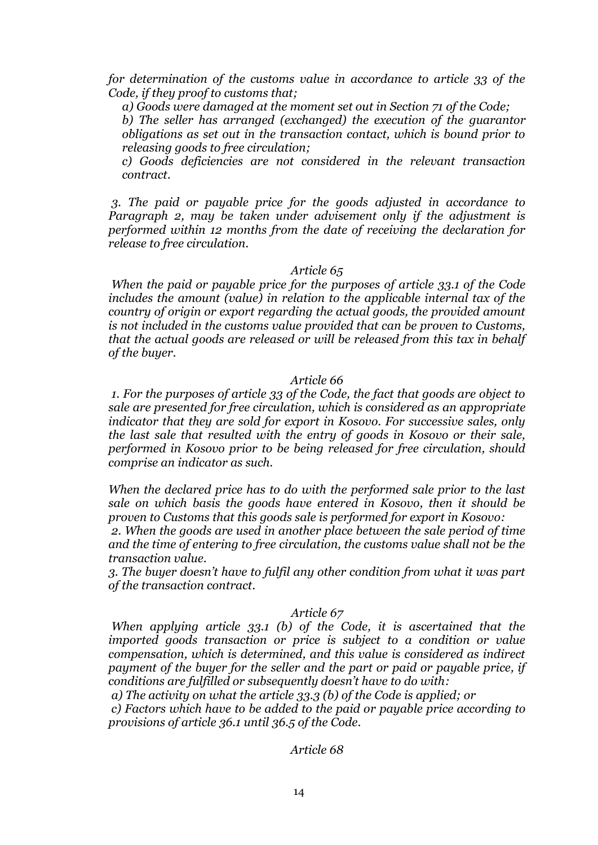*for determination of the customs value in accordance to article 33 of the Code, if they proof to customs that;*

*a) Goods were damaged at the moment set out in Section 71 of the Code;* 

*b) The seller has arranged (exchanged) the execution of the guarantor obligations as set out in the transaction contact, which is bound prior to releasing goods to free circulation;* 

*c) Goods deficiencies are not considered in the relevant transaction contract.*

*3. The paid or payable price for the goods adjusted in accordance to Paragraph 2, may be taken under advisement only if the adjustment is performed within 12 months from the date of receiving the declaration for release to free circulation.*

#### *Article 65*

*When the paid or payable price for the purposes of article 33.1 of the Code includes the amount (value) in relation to the applicable internal tax of the country of origin or export regarding the actual goods, the provided amount is not included in the customs value provided that can be proven to Customs, that the actual goods are released or will be released from this tax in behalf of the buyer.*

#### *Article 66*

*1. For the purposes of article 33 of the Code, the fact that goods are object to sale are presented for free circulation, which is considered as an appropriate indicator that they are sold for export in Kosovo. For successive sales, only the last sale that resulted with the entry of goods in Kosovo or their sale, performed in Kosovo prior to be being released for free circulation, should comprise an indicator as such.*

*When the declared price has to do with the performed sale prior to the last sale on which basis the goods have entered in Kosovo, then it should be proven to Customs that this goods sale is performed for export in Kosovo:* 

*2. When the goods are used in another place between the sale period of time and the time of entering to free circulation, the customs value shall not be the transaction value.*

*3. The buyer doesn't have to fulfil any other condition from what it was part of the transaction contract.* 

#### *Article 67*

*When applying article 33.1 (b) of the Code, it is ascertained that the imported goods transaction or price is subject to a condition or value compensation, which is determined, and this value is considered as indirect payment of the buyer for the seller and the part or paid or payable price, if conditions are fulfilled or subsequently doesn't have to do with:*

*a) The activity on what the article 33.3 (b) of the Code is applied; or*

*c) Factors which have to be added to the paid or payable price according to provisions of article 36.1 until 36.5 of the Code.*

#### *Article 68*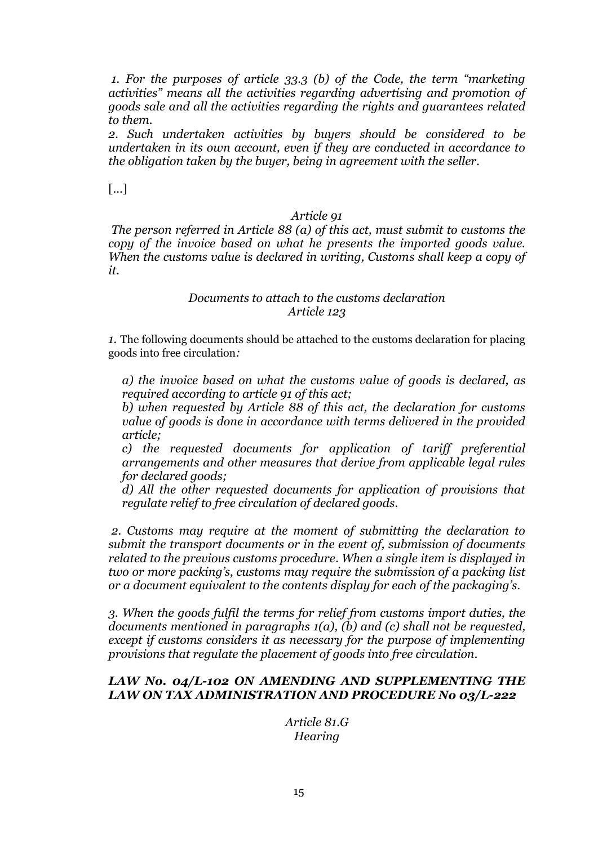*1. For the purposes of article 33.3 (b) of the Code, the term "marketing activities" means all the activities regarding advertising and promotion of goods sale and all the activities regarding the rights and guarantees related to them.*

*2. Such undertaken activities by buyers should be considered to be undertaken in its own account, even if they are conducted in accordance to the obligation taken by the buyer, being in agreement with the seller.*

[...]

## *Article 91*

*The person referred in Article 88 (a) of this act, must submit to customs the copy of the invoice based on what he presents the imported goods value. When the customs value is declared in writing, Customs shall keep a copy of it.*

## *Documents to attach to the customs declaration Article 123*

*1.* The following documents should be attached to the customs declaration for placing goods into free circulation*:*

*a) the invoice based on what the customs value of goods is declared, as required according to article 91 of this act;* 

*b) when requested by Article 88 of this act, the declaration for customs value of goods is done in accordance with terms delivered in the provided article;* 

*c) the requested documents for application of tariff preferential arrangements and other measures that derive from applicable legal rules for declared goods;* 

*d) All the other requested documents for application of provisions that regulate relief to free circulation of declared goods.* 

*2. Customs may require at the moment of submitting the declaration to submit the transport documents or in the event of, submission of documents related to the previous customs procedure. When a single item is displayed in two or more packing's, customs may require the submission of a packing list or a document equivalent to the contents display for each of the packaging's*.

*3. When the goods fulfil the terms for relief from customs import duties, the documents mentioned in paragraphs 1(a), (b) and (c) shall not be requested, except if customs considers it as necessary for the purpose of implementing provisions that regulate the placement of goods into free circulation.*

## *LAW No. 04/L-102 ON AMENDING AND SUPPLEMENTING THE LAW ON TAX ADMINISTRATION AND PROCEDURE No 03/L-222*

*Article 81.G Hearing*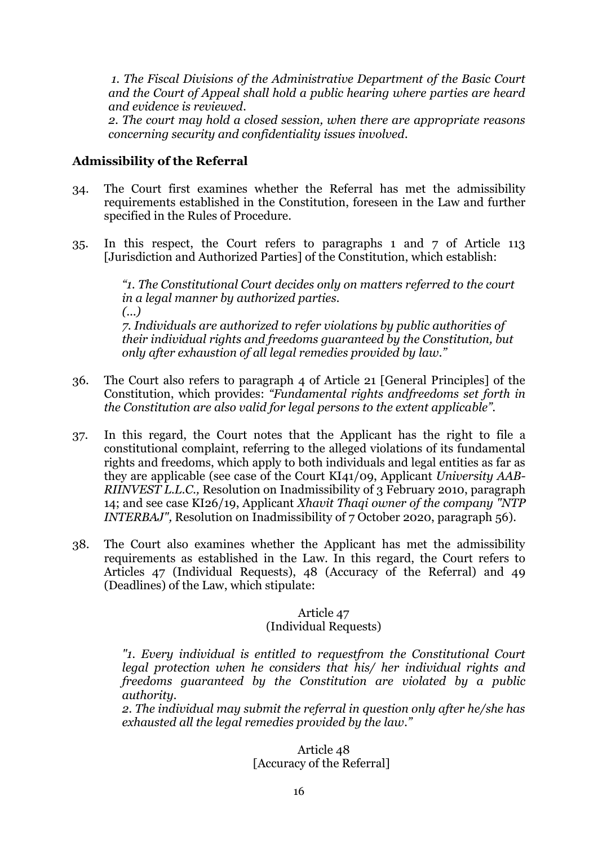*1. The Fiscal Divisions of the Administrative Department of the Basic Court and the Court of Appeal shall hold a public hearing where parties are heard and evidence is reviewed.*

*2. The court may hold a closed session, when there are appropriate reasons concerning security and confidentiality issues involved.*

## **Admissibility of the Referral**

- 34. The Court first examines whether the Referral has met the admissibility requirements established in the Constitution, foreseen in the Law and further specified in the Rules of Procedure.
- 35. In this respect, the Court refers to paragraphs 1 and 7 of Article 113 [Jurisdiction and Authorized Parties] of the Constitution, which establish:

*"1. The Constitutional Court decides only on matters referred to the court in a legal manner by authorized parties. (...) 7. Individuals are authorized to refer violations by public authorities of their individual rights and freedoms guaranteed by the Constitution, but only after exhaustion of all legal remedies provided by law."*

- 36. The Court also refers to paragraph 4 of Article 21 [General Principles] of the Constitution, which provides: *"Fundamental rights andfreedoms set forth in the Constitution are also valid for legal persons to the extent applicable".*
- 37. In this regard, the Court notes that the Applicant has the right to file a constitutional complaint, referring to the alleged violations of its fundamental rights and freedoms, which apply to both individuals and legal entities as far as they are applicable (see case of the Court KI41/09, Applicant *University AAB-RIINVEST L.L.C.,* Resolution on Inadmissibility of 3 February 2010, paragraph 14; and see case KI26/19, Applicant *Xhavit Thaqi owner of the company "NTP INTERBAJ"*, Resolution on Inadmissibility of 7 October 2020, paragraph 56).
- 38. The Court also examines whether the Applicant has met the admissibility requirements as established in the Law. In this regard, the Court refers to Articles 47 (Individual Requests), 48 (Accuracy of the Referral) and 49 (Deadlines) of the Law, which stipulate:

### Article 47 (Individual Requests)

*"1. Every individual is entitled to requestfrom the Constitutional Court legal protection when he considers that his/ her individual rights and freedoms guaranteed by the Constitution are violated by a public authority.* 

*2. The individual may submit the referral in question only after he/she has exhausted all the legal remedies provided by the law."*

### Article 48 [Accuracy of the Referral]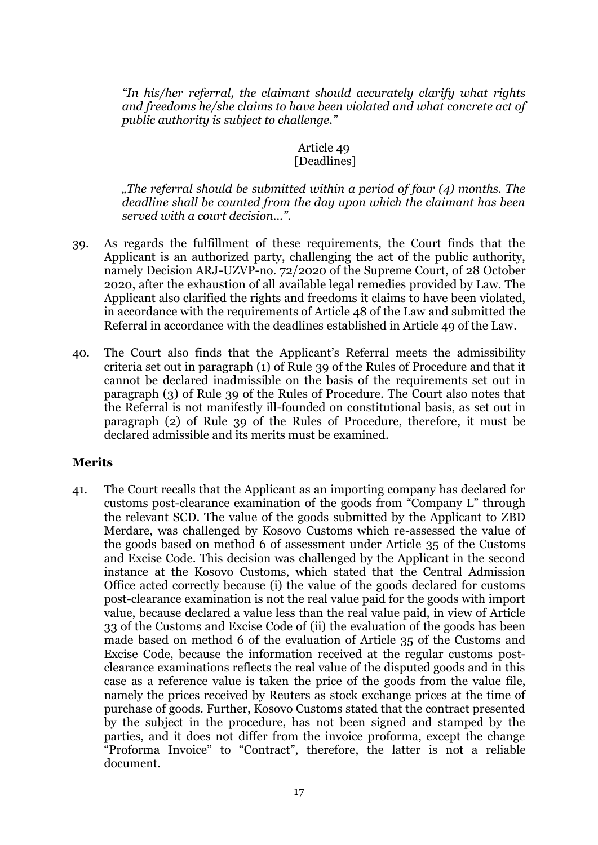*"In his/her referral, the claimant should accurately clarify what rights and freedoms he/she claims to have been violated and what concrete act of public authority is subject to challenge."* 

## Article 49 [Deadlines]

*"The referral should be submitted within a period of four (4) months. The deadline shall be counted from the day upon which the claimant has been served with a court decision...".*

- 39. As regards the fulfillment of these requirements, the Court finds that the Applicant is an authorized party, challenging the act of the public authority, namely Decision ARJ-UZVP-no. 72/2020 of the Supreme Court, of 28 October 2020, after the exhaustion of all available legal remedies provided by Law. The Applicant also clarified the rights and freedoms it claims to have been violated, in accordance with the requirements of Article 48 of the Law and submitted the Referral in accordance with the deadlines established in Article 49 of the Law.
- 40. The Court also finds that the Applicant's Referral meets the admissibility criteria set out in paragraph (1) of Rule 39 of the Rules of Procedure and that it cannot be declared inadmissible on the basis of the requirements set out in paragraph (3) of Rule 39 of the Rules of Procedure. The Court also notes that the Referral is not manifestly ill-founded on constitutional basis, as set out in paragraph (2) of Rule 39 of the Rules of Procedure, therefore, it must be declared admissible and its merits must be examined.

## **Merits**

41. The Court recalls that the Applicant as an importing company has declared for customs post-clearance examination of the goods from "Company L" through the relevant SCD. The value of the goods submitted by the Applicant to ZBD Merdare, was challenged by Kosovo Customs which re-assessed the value of the goods based on method 6 of assessment under Article 35 of the Customs and Excise Code. This decision was challenged by the Applicant in the second instance at the Kosovo Customs, which stated that the Central Admission Office acted correctly because (i) the value of the goods declared for customs post-clearance examination is not the real value paid for the goods with import value, because declared a value less than the real value paid, in view of Article 33 of the Customs and Excise Code of (ii) the evaluation of the goods has been made based on method 6 of the evaluation of Article 35 of the Customs and Excise Code, because the information received at the regular customs postclearance examinations reflects the real value of the disputed goods and in this case as a reference value is taken the price of the goods from the value file, namely the prices received by Reuters as stock exchange prices at the time of purchase of goods. Further, Kosovo Customs stated that the contract presented by the subject in the procedure, has not been signed and stamped by the parties, and it does not differ from the invoice proforma, except the change "Proforma Invoice" to "Contract", therefore, the latter is not a reliable document.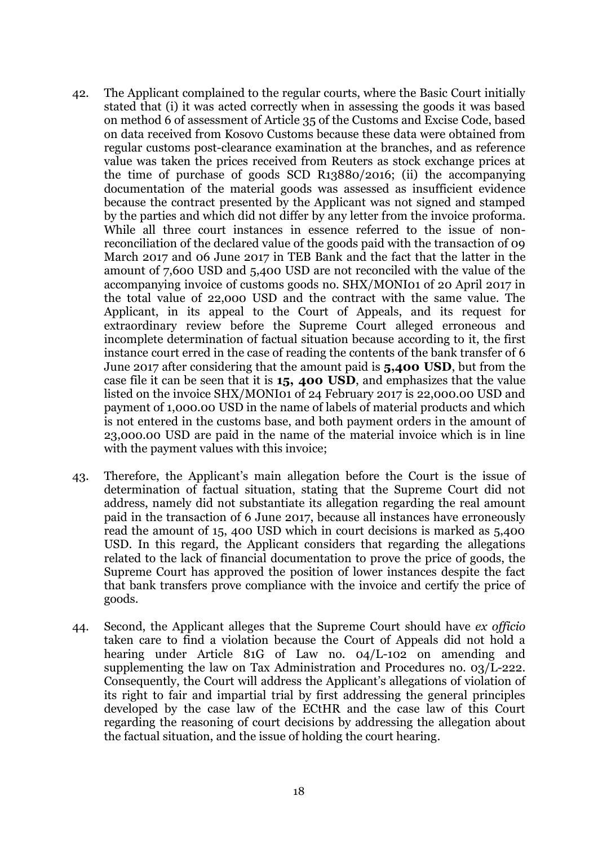- 42. The Applicant complained to the regular courts, where the Basic Court initially stated that (i) it was acted correctly when in assessing the goods it was based on method 6 of assessment of Article 35 of the Customs and Excise Code, based on data received from Kosovo Customs because these data were obtained from regular customs post-clearance examination at the branches, and as reference value was taken the prices received from Reuters as stock exchange prices at the time of purchase of goods SCD R13880/2016; (ii) the accompanying documentation of the material goods was assessed as insufficient evidence because the contract presented by the Applicant was not signed and stamped by the parties and which did not differ by any letter from the invoice proforma. While all three court instances in essence referred to the issue of nonreconciliation of the declared value of the goods paid with the transaction of 09 March 2017 and 06 June 2017 in TEB Bank and the fact that the latter in the amount of 7,600 USD and 5,400 USD are not reconciled with the value of the accompanying invoice of customs goods no. SHX/MONI01 of 20 April 2017 in the total value of 22,000 USD and the contract with the same value. The Applicant, in its appeal to the Court of Appeals, and its request for extraordinary review before the Supreme Court alleged erroneous and incomplete determination of factual situation because according to it, the first instance court erred in the case of reading the contents of the bank transfer of 6 June 2017 after considering that the amount paid is **5,400 USD**, but from the case file it can be seen that it is **15, 400 USD**, and emphasizes that the value listed on the invoice SHX/MONI01 of 24 February 2017 is 22,000.00 USD and payment of 1,000.00 USD in the name of labels of material products and which is not entered in the customs base, and both payment orders in the amount of 23,000.00 USD are paid in the name of the material invoice which is in line with the payment values with this invoice;
- 43. Therefore, the Applicant's main allegation before the Court is the issue of determination of factual situation, stating that the Supreme Court did not address, namely did not substantiate its allegation regarding the real amount paid in the transaction of 6 June 2017, because all instances have erroneously read the amount of 15, 400 USD which in court decisions is marked as 5,400 USD. In this regard, the Applicant considers that regarding the allegations related to the lack of financial documentation to prove the price of goods, the Supreme Court has approved the position of lower instances despite the fact that bank transfers prove compliance with the invoice and certify the price of goods.
- 44. Second, the Applicant alleges that the Supreme Court should have *ex officio* taken care to find a violation because the Court of Appeals did not hold a hearing under Article 81G of Law no. 04/L-102 on amending and supplementing the law on Tax Administration and Procedures no. 03/L-222. Consequently, the Court will address the Applicant's allegations of violation of its right to fair and impartial trial by first addressing the general principles developed by the case law of the ECtHR and the case law of this Court regarding the reasoning of court decisions by addressing the allegation about the factual situation, and the issue of holding the court hearing.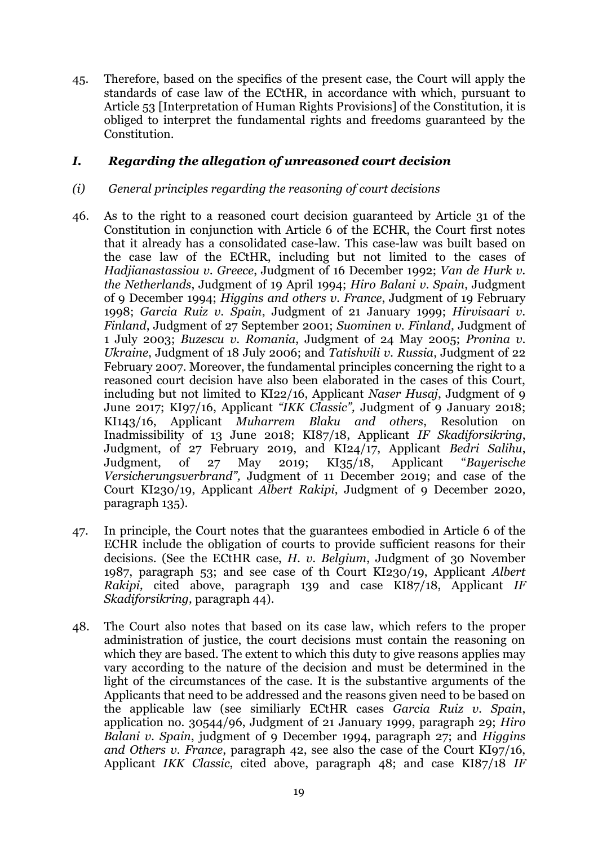45. Therefore, based on the specifics of the present case, the Court will apply the standards of case law of the ECtHR, in accordance with which, pursuant to Article 53 [Interpretation of Human Rights Provisions] of the Constitution, it is obliged to interpret the fundamental rights and freedoms guaranteed by the Constitution.

## *I. Regarding the allegation of unreasoned court decision*

## *(i) General principles regarding the reasoning of court decisions*

- 46. As to the right to a reasoned court decision guaranteed by Article 31 of the Constitution in conjunction with Article 6 of the ECHR, the Court first notes that it already has a consolidated case-law. This case-law was built based on the case law of the ECtHR, including but not limited to the cases of *Hadjianastassiou v. Greece*, Judgment of 16 December 1992; *Van de Hurk v. the Netherlands*, Judgment of 19 April 1994; *Hiro Balani v. Spain*, Judgment of 9 December 1994; *Higgins and others v. France*, Judgment of 19 February 1998; *Garcia Ruiz v. Spain*, Judgment of 21 January 1999; *Hirvisaari v. Finland*, Judgment of 27 September 2001; *Suominen v. Finland*, Judgment of 1 July 2003; *Buzescu v. Romania*, Judgment of 24 May 2005; *Pronina v. Ukraine*, Judgment of 18 July 2006; and *Tatishvili v. Russia*, Judgment of 22 February 2007. Moreover, the fundamental principles concerning the right to a reasoned court decision have also been elaborated in the cases of this Court, including but not limited to KI22/16, Applicant *Naser Husaj*, Judgment of 9 June 2017; KI97/16, Applicant *"IKK Classic",* Judgment of 9 January 2018; KI143/16, Applicant *Muharrem Blaku and others*, Resolution on Inadmissibility of 13 June 2018; KI87/18, Applicant *IF Skadiforsikring*, Judgment, of 27 February 2019, and KI24/17, Applicant *Bedri Salihu*, Judgment, of 27 May 2019; KI35/18, Applicant "*Bayerische Versicherungsverbrand",* Judgment of 11 December 2019; and case of the Court KI230/19, Applicant *Albert Rakipi*, Judgment of 9 December 2020, paragraph 135).
- 47. In principle, the Court notes that the guarantees embodied in Article 6 of the ECHR include the obligation of courts to provide sufficient reasons for their decisions. (See the ECtHR case, *H. v. Belgium*, Judgment of 30 November 1987, paragraph 53; and see case of th Court KI230/19, Applicant *Albert Rakipi,* cited above, paragraph 139 and case KI87/18, Applicant *IF Skadiforsikring,* paragraph 44).
- 48. The Court also notes that based on its case law, which refers to the proper administration of justice, the court decisions must contain the reasoning on which they are based. The extent to which this duty to give reasons applies may vary according to the nature of the decision and must be determined in the light of the circumstances of the case. It is the substantive arguments of the Applicants that need to be addressed and the reasons given need to be based on the applicable law (see similiarly ECtHR cases *Garcia Ruiz v. Spain*, application no. 30544/96, Judgment of 21 January 1999, paragraph 29; *Hiro Balani v. Spain*, judgment of 9 December 1994, paragraph 27; and *Higgins and Others v. France*, paragraph 42, see also the case of the Court KI97/16, Applicant *IKK Classic*, cited above, paragraph 48; and case KI87/18 *IF*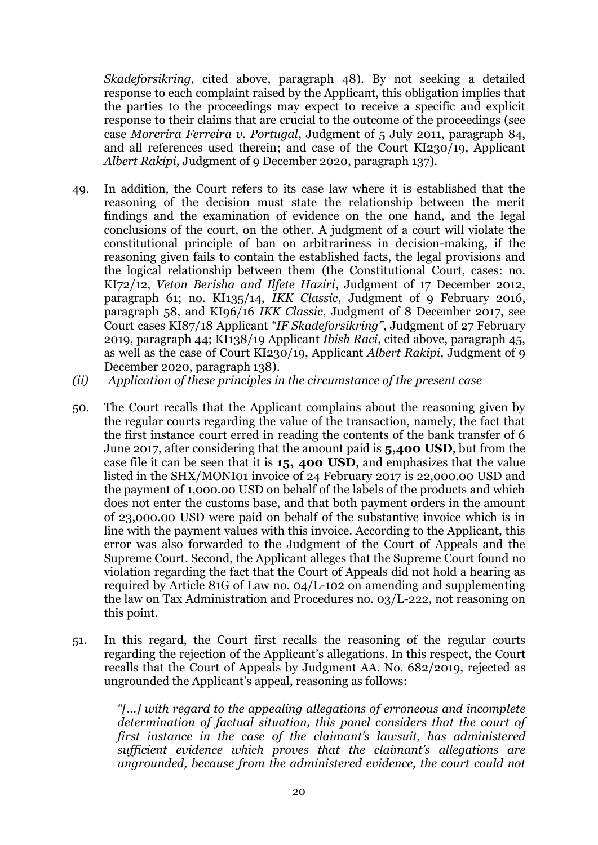*Skadeforsikring*, cited above, paragraph 48). By not seeking a detailed response to each complaint raised by the Applicant, this obligation implies that the parties to the proceedings may expect to receive a specific and explicit response to their claims that are crucial to the outcome of the proceedings (see case *Morerira Ferreira v. Portugal*, Judgment of 5 July 2011, paragraph 84, and all references used therein; and case of the Court KI230/19, Applicant *Albert Rakipi,* Judgment of 9 December 2020, paragraph 137).

- 49. In addition, the Court refers to its case law where it is established that the reasoning of the decision must state the relationship between the merit findings and the examination of evidence on the one hand, and the legal conclusions of the court, on the other. A judgment of a court will violate the constitutional principle of ban on arbitrariness in decision-making, if the reasoning given fails to contain the established facts, the legal provisions and the logical relationship between them (the Constitutional Court, cases: no. KI72/12, *Veton Berisha and Ilfete Haziri*, Judgment of 17 December 2012, paragraph 61; no. KI135/14, *IKK Classic*, Judgment of 9 February 2016, paragraph 58, and KI96/16 *IKK Classic*, Judgment of 8 December 2017, see Court cases KI87/18 Applicant *"IF Skadeforsikring"*, Judgment of 27 February 2019, paragraph 44; KI138/19 Applicant *Ibish Raci*, cited above, paragraph 45, as well as the case of Court KI230/19, Applicant *Albert Rakipi*, Judgment of 9 December 2020, paragraph 138).
- *(ii) Application of these principles in the circumstance of the present case*
- 50. The Court recalls that the Applicant complains about the reasoning given by the regular courts regarding the value of the transaction, namely, the fact that the first instance court erred in reading the contents of the bank transfer of 6 June 2017, after considering that the amount paid is **5,400 USD**, but from the case file it can be seen that it is **15, 400 USD**, and emphasizes that the value listed in the SHX/MONI01 invoice of 24 February 2017 is 22,000.00 USD and the payment of 1,000.00 USD on behalf of the labels of the products and which does not enter the customs base, and that both payment orders in the amount of 23,000.00 USD were paid on behalf of the substantive invoice which is in line with the payment values with this invoice. According to the Applicant, this error was also forwarded to the Judgment of the Court of Appeals and the Supreme Court. Second, the Applicant alleges that the Supreme Court found no violation regarding the fact that the Court of Appeals did not hold a hearing as required by Article 81G of Law no. 04/L-102 on amending and supplementing the law on Tax Administration and Procedures no. 03/L-222, not reasoning on this point.
- 51. In this regard, the Court first recalls the reasoning of the regular courts regarding the rejection of the Applicant's allegations. In this respect, the Court recalls that the Court of Appeals by Judgment AA. No. 682/2019, rejected as ungrounded the Applicant's appeal, reasoning as follows:

*"[...] with regard to the appealing allegations of erroneous and incomplete determination of factual situation, this panel considers that the court of first instance in the case of the claimant's lawsuit, has administered sufficient evidence which proves that the claimant's allegations are ungrounded, because from the administered evidence, the court could not*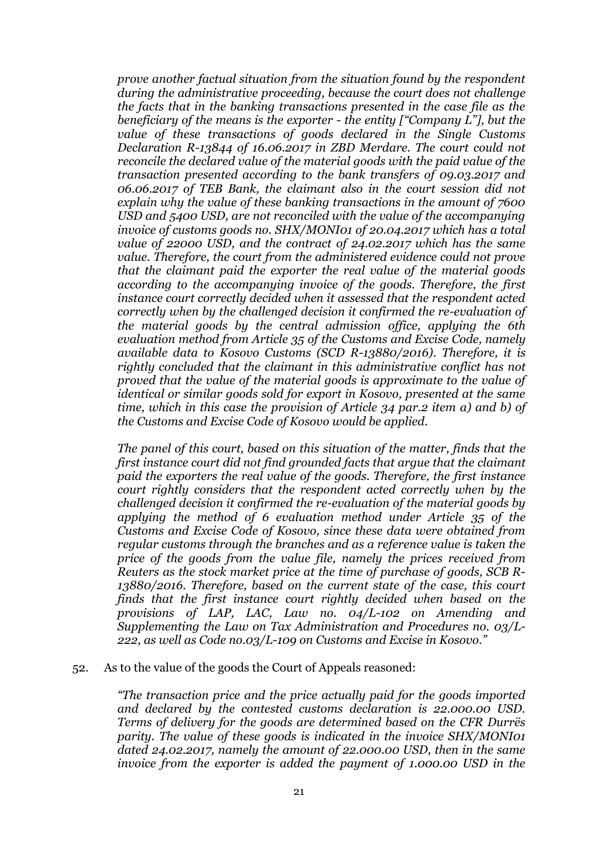*prove another factual situation from the situation found by the respondent during the administrative proceeding, because the court does not challenge the facts that in the banking transactions presented in the case file as the beneficiary of the means is the exporter - the entity ["Company L"], but the value of these transactions of goods declared in the Single Customs Declaration R-13844 of 16.06.2017 in ZBD Merdare. The court could not reconcile the declared value of the material goods with the paid value of the transaction presented according to the bank transfers of 09.03.2017 and 06.06.2017 of TEB Bank, the claimant also in the court session did not explain why the value of these banking transactions in the amount of 7600 USD and 5400 USD, are not reconciled with the value of the accompanying invoice of customs goods no. SHX/MONI01 of 20.04.2017 which has a total value of 22000 USD, and the contract of 24.02.2017 which has the same value. Therefore, the court from the administered evidence could not prove that the claimant paid the exporter the real value of the material goods according to the accompanying invoice of the goods. Therefore, the first instance court correctly decided when it assessed that the respondent acted correctly when by the challenged decision it confirmed the re-evaluation of the material goods by the central admission office, applying the 6th evaluation method from Article 35 of the Customs and Excise Code, namely available data to Kosovo Customs (SCD R-13880/2016). Therefore, it is rightly concluded that the claimant in this administrative conflict has not proved that the value of the material goods is approximate to the value of identical or similar goods sold for export in Kosovo, presented at the same time, which in this case the provision of Article 34 par.2 item a) and b) of the Customs and Excise Code of Kosovo would be applied.*

*The panel of this court, based on this situation of the matter, finds that the first instance court did not find grounded facts that argue that the claimant paid the exporters the real value of the goods. Therefore, the first instance court rightly considers that the respondent acted correctly when by the challenged decision it confirmed the re-evaluation of the material goods by applying the method of 6 evaluation method under Article 35 of the Customs and Excise Code of Kosovo, since these data were obtained from regular customs through the branches and as a reference value is taken the price of the goods from the value file, namely the prices received from Reuters as the stock market price at the time of purchase of goods, SCB R-13880/2016. Therefore, based on the current state of the case, this court finds that the first instance court rightly decided when based on the provisions of LAP, LAC, Law no. 04/L-102 on Amending and Supplementing the Law on Tax Administration and Procedures no. 03/L-222, as well as Code no.03/L-109 on Customs and Excise in Kosovo."*

#### 52. As to the value of the goods the Court of Appeals reasoned:

*"The transaction price and the price actually paid for the goods imported and declared by the contested customs declaration is 22.000.00 USD. Terms of delivery for the goods are determined based on the CFR Durrës parity. The value of these goods is indicated in the invoice SHX/MONI01 dated 24.02.2017, namely the amount of 22.000.00 USD, then in the same invoice from the exporter is added the payment of 1.000.00 USD in the*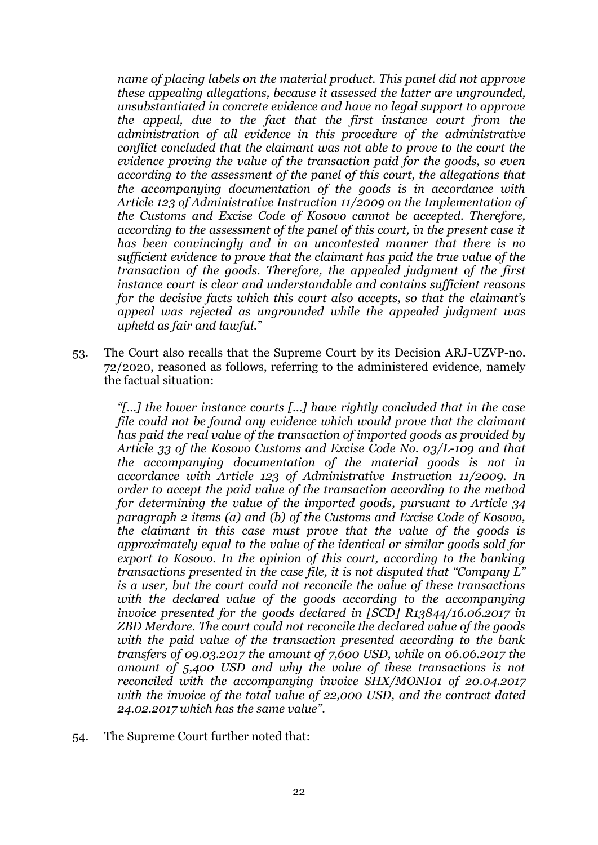*name of placing labels on the material product. This panel did not approve these appealing allegations, because it assessed the latter are ungrounded, unsubstantiated in concrete evidence and have no legal support to approve the appeal, due to the fact that the first instance court from the administration of all evidence in this procedure of the administrative conflict concluded that the claimant was not able to prove to the court the evidence proving the value of the transaction paid for the goods, so even according to the assessment of the panel of this court, the allegations that the accompanying documentation of the goods is in accordance with Article 123 of Administrative Instruction 11/2009 on the Implementation of the Customs and Excise Code of Kosovo cannot be accepted. Therefore, according to the assessment of the panel of this court, in the present case it has been convincingly and in an uncontested manner that there is no sufficient evidence to prove that the claimant has paid the true value of the transaction of the goods. Therefore, the appealed judgment of the first instance court is clear and understandable and contains sufficient reasons for the decisive facts which this court also accepts, so that the claimant's appeal was rejected as ungrounded while the appealed judgment was upheld as fair and lawful."*

53. The Court also recalls that the Supreme Court by its Decision ARJ-UZVP-no. 72/2020, reasoned as follows, referring to the administered evidence, namely the factual situation:

*"[...] the lower instance courts [...] have rightly concluded that in the case file could not be found any evidence which would prove that the claimant has paid the real value of the transaction of imported goods as provided by Article 33 of the Kosovo Customs and Excise Code No. 03/L-109 and that the accompanying documentation of the material goods is not in accordance with Article 123 of Administrative Instruction 11/2009. In order to accept the paid value of the transaction according to the method for determining the value of the imported goods, pursuant to Article 34 paragraph 2 items (a) and (b) of the Customs and Excise Code of Kosovo, the claimant in this case must prove that the value of the goods is approximately equal to the value of the identical or similar goods sold for export to Kosovo. In the opinion of this court, according to the banking transactions presented in the case file, it is not disputed that "Company L" is a user, but the court could not reconcile the value of these transactions with the declared value of the goods according to the accompanying invoice presented for the goods declared in [SCD] R13844/16.06.2017 in ZBD Merdare. The court could not reconcile the declared value of the goods with the paid value of the transaction presented according to the bank transfers of 09.03.2017 the amount of 7,600 USD, while on 06.06.2017 the amount of 5,400 USD and why the value of these transactions is not reconciled with the accompanying invoice SHX/MONI01 of 20.04.2017 with the invoice of the total value of 22,000 USD, and the contract dated 24.02.2017 which has the same value".*

54. The Supreme Court further noted that: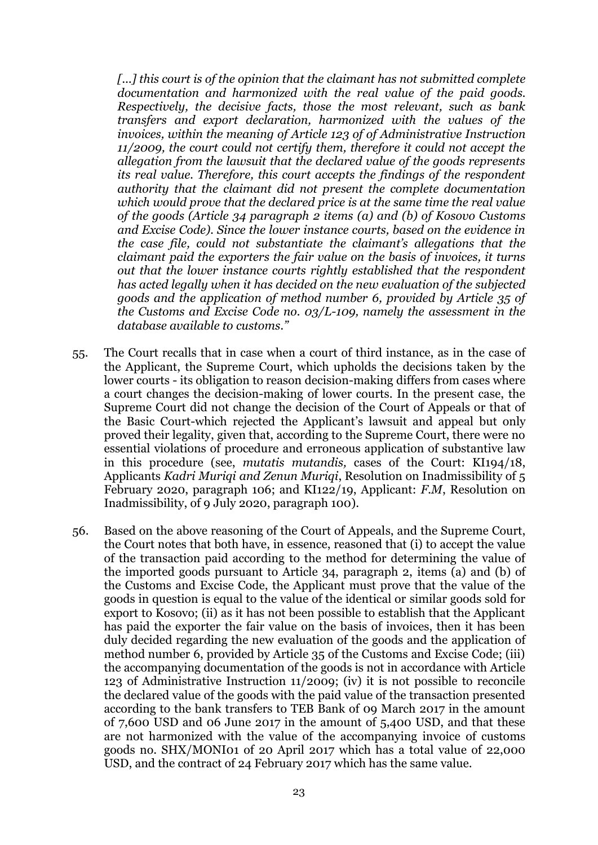*[...] this court is of the opinion that the claimant has not submitted complete documentation and harmonized with the real value of the paid goods. Respectively, the decisive facts, those the most relevant, such as bank transfers and export declaration, harmonized with the values of the invoices, within the meaning of Article 123 of of Administrative Instruction 11/2009, the court could not certify them, therefore it could not accept the allegation from the lawsuit that the declared value of the goods represents its real value. Therefore, this court accepts the findings of the respondent authority that the claimant did not present the complete documentation which would prove that the declared price is at the same time the real value of the goods (Article 34 paragraph 2 items (a) and (b) of Kosovo Customs and Excise Code). Since the lower instance courts, based on the evidence in the case file, could not substantiate the claimant's allegations that the claimant paid the exporters the fair value on the basis of invoices, it turns out that the lower instance courts rightly established that the respondent has acted legally when it has decided on the new evaluation of the subjected goods and the application of method number 6, provided by Article 35 of the Customs and Excise Code no. 03/L-109, namely the assessment in the database available to customs."*

- 55. The Court recalls that in case when a court of third instance, as in the case of the Applicant, the Supreme Court, which upholds the decisions taken by the lower courts - its obligation to reason decision-making differs from cases where a court changes the decision-making of lower courts. In the present case, the Supreme Court did not change the decision of the Court of Appeals or that of the Basic Court-which rejected the Applicant's lawsuit and appeal but only proved their legality, given that, according to the Supreme Court, there were no essential violations of procedure and erroneous application of substantive law in this procedure (see, *mutatis mutandis,* cases of the Court: KI194/18, Applicants *Kadri Muriqi and Zenun Muriqi*, Resolution on Inadmissibility of 5 February 2020, paragraph 106; and KI122/19, Applicant: *F.M*, Resolution on Inadmissibility, of 9 July 2020, paragraph 100).
- 56. Based on the above reasoning of the Court of Appeals, and the Supreme Court, the Court notes that both have, in essence, reasoned that (i) to accept the value of the transaction paid according to the method for determining the value of the imported goods pursuant to Article 34, paragraph 2, items (a) and (b) of the Customs and Excise Code, the Applicant must prove that the value of the goods in question is equal to the value of the identical or similar goods sold for export to Kosovo; (ii) as it has not been possible to establish that the Applicant has paid the exporter the fair value on the basis of invoices, then it has been duly decided regarding the new evaluation of the goods and the application of method number 6, provided by Article 35 of the Customs and Excise Code; (iii) the accompanying documentation of the goods is not in accordance with Article 123 of Administrative Instruction 11/2009; (iv) it is not possible to reconcile the declared value of the goods with the paid value of the transaction presented according to the bank transfers to TEB Bank of 09 March 2017 in the amount of 7,600 USD and 06 June 2017 in the amount of 5,400 USD, and that these are not harmonized with the value of the accompanying invoice of customs goods no. SHX/MONI01 of 20 April 2017 which has a total value of 22,000 USD, and the contract of 24 February 2017 which has the same value.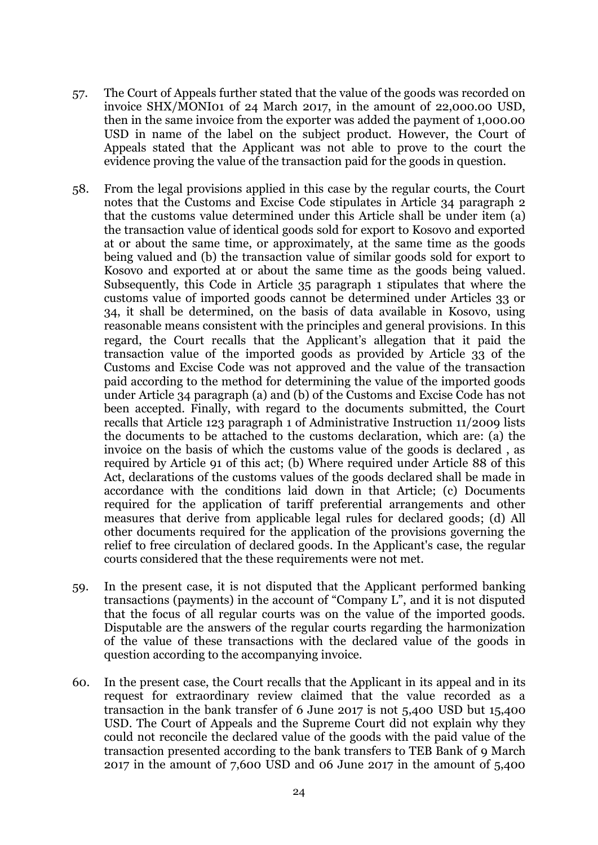- 57. The Court of Appeals further stated that the value of the goods was recorded on invoice SHX/MONI01 of 24 March 2017, in the amount of 22,000.00 USD, then in the same invoice from the exporter was added the payment of 1,000.00 USD in name of the label on the subject product. However, the Court of Appeals stated that the Applicant was not able to prove to the court the evidence proving the value of the transaction paid for the goods in question.
- 58. From the legal provisions applied in this case by the regular courts, the Court notes that the Customs and Excise Code stipulates in Article 34 paragraph 2 that the customs value determined under this Article shall be under item (a) the transaction value of identical goods sold for export to Kosovo and exported at or about the same time, or approximately, at the same time as the goods being valued and (b) the transaction value of similar goods sold for export to Kosovo and exported at or about the same time as the goods being valued. Subsequently, this Code in Article 35 paragraph 1 stipulates that where the customs value of imported goods cannot be determined under Articles 33 or 34, it shall be determined, on the basis of data available in Kosovo, using reasonable means consistent with the principles and general provisions. In this regard, the Court recalls that the Applicant's allegation that it paid the transaction value of the imported goods as provided by Article 33 of the Customs and Excise Code was not approved and the value of the transaction paid according to the method for determining the value of the imported goods under Article 34 paragraph (a) and (b) of the Customs and Excise Code has not been accepted. Finally, with regard to the documents submitted, the Court recalls that Article 123 paragraph 1 of Administrative Instruction 11/2009 lists the documents to be attached to the customs declaration, which are: (a) the invoice on the basis of which the customs value of the goods is declared , as required by Article 91 of this act; (b) Where required under Article 88 of this Act, declarations of the customs values of the goods declared shall be made in accordance with the conditions laid down in that Article; (c) Documents required for the application of tariff preferential arrangements and other measures that derive from applicable legal rules for declared goods; (d) All other documents required for the application of the provisions governing the relief to free circulation of declared goods. In the Applicant's case, the regular courts considered that the these requirements were not met.
- 59. In the present case, it is not disputed that the Applicant performed banking transactions (payments) in the account of "Company L", and it is not disputed that the focus of all regular courts was on the value of the imported goods. Disputable are the answers of the regular courts regarding the harmonization of the value of these transactions with the declared value of the goods in question according to the accompanying invoice.
- 60. In the present case, the Court recalls that the Applicant in its appeal and in its request for extraordinary review claimed that the value recorded as a transaction in the bank transfer of 6 June 2017 is not 5,400 USD but 15,400 USD. The Court of Appeals and the Supreme Court did not explain why they could not reconcile the declared value of the goods with the paid value of the transaction presented according to the bank transfers to TEB Bank of 9 March 2017 in the amount of 7,600 USD and 06 June 2017 in the amount of 5,400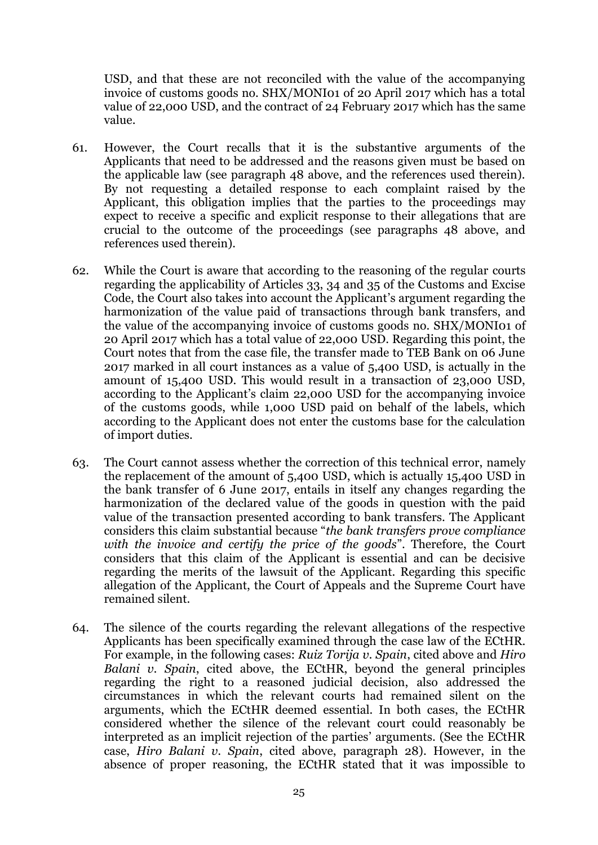USD, and that these are not reconciled with the value of the accompanying invoice of customs goods no. SHX/MONI01 of 20 April 2017 which has a total value of 22,000 USD, and the contract of 24 February 2017 which has the same value.

- 61. However, the Court recalls that it is the substantive arguments of the Applicants that need to be addressed and the reasons given must be based on the applicable law (see paragraph 48 above, and the references used therein). By not requesting a detailed response to each complaint raised by the Applicant, this obligation implies that the parties to the proceedings may expect to receive a specific and explicit response to their allegations that are crucial to the outcome of the proceedings (see paragraphs 48 above, and references used therein).
- 62. While the Court is aware that according to the reasoning of the regular courts regarding the applicability of Articles 33, 34 and 35 of the Customs and Excise Code, the Court also takes into account the Applicant's argument regarding the harmonization of the value paid of transactions through bank transfers, and the value of the accompanying invoice of customs goods no. SHX/MONI01 of 20 April 2017 which has a total value of 22,000 USD. Regarding this point, the Court notes that from the case file, the transfer made to TEB Bank on 06 June 2017 marked in all court instances as a value of 5,400 USD, is actually in the amount of 15,400 USD. This would result in a transaction of 23,000 USD, according to the Applicant's claim 22,000 USD for the accompanying invoice of the customs goods, while 1,000 USD paid on behalf of the labels, which according to the Applicant does not enter the customs base for the calculation of import duties.
- 63. The Court cannot assess whether the correction of this technical error, namely the replacement of the amount of 5,400 USD, which is actually 15,400 USD in the bank transfer of 6 June 2017, entails in itself any changes regarding the harmonization of the declared value of the goods in question with the paid value of the transaction presented according to bank transfers. The Applicant considers this claim substantial because "*the bank transfers prove compliance with the invoice and certify the price of the goods*". Therefore, the Court considers that this claim of the Applicant is essential and can be decisive regarding the merits of the lawsuit of the Applicant. Regarding this specific allegation of the Applicant, the Court of Appeals and the Supreme Court have remained silent.
- 64. The silence of the courts regarding the relevant allegations of the respective Applicants has been specifically examined through the case law of the ECtHR. For example, in the following cases: *Ruiz Torija v. Spain*, cited above and *Hiro Balani v. Spain*, cited above, the ECtHR, beyond the general principles regarding the right to a reasoned judicial decision, also addressed the circumstances in which the relevant courts had remained silent on the arguments, which the ECtHR deemed essential. In both cases, the ECtHR considered whether the silence of the relevant court could reasonably be interpreted as an implicit rejection of the parties' arguments. (See the ECtHR case, *Hiro Balani v. Spain*, cited above, paragraph 28). However, in the absence of proper reasoning, the ECtHR stated that it was impossible to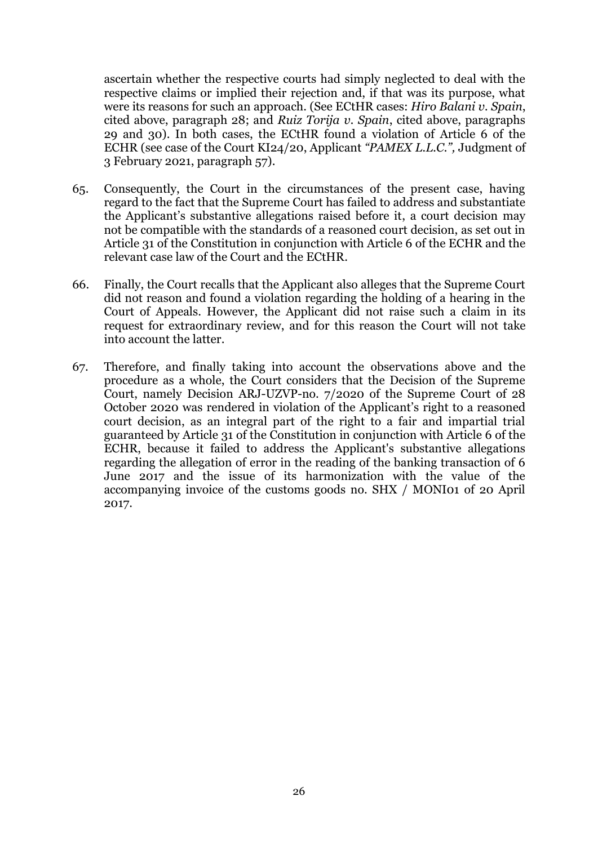ascertain whether the respective courts had simply neglected to deal with the respective claims or implied their rejection and, if that was its purpose, what were its reasons for such an approach. (See ECtHR cases: *Hiro Balani v. Spain*, cited above, paragraph 28; and *Ruiz Torija v. Spain*, cited above, paragraphs 29 and 30). In both cases, the ECtHR found a violation of Article 6 of the ECHR (see case of the Court KI24/20, Applicant *"PAMEX L.L.C.",* Judgment of 3 February 2021, paragraph 57).

- 65. Consequently, the Court in the circumstances of the present case, having regard to the fact that the Supreme Court has failed to address and substantiate the Applicant's substantive allegations raised before it, a court decision may not be compatible with the standards of a reasoned court decision, as set out in Article 31 of the Constitution in conjunction with Article 6 of the ECHR and the relevant case law of the Court and the ECtHR.
- 66. Finally, the Court recalls that the Applicant also alleges that the Supreme Court did not reason and found a violation regarding the holding of a hearing in the Court of Appeals. However, the Applicant did not raise such a claim in its request for extraordinary review, and for this reason the Court will not take into account the latter.
- 67. Therefore, and finally taking into account the observations above and the procedure as a whole, the Court considers that the Decision of the Supreme Court, namely Decision ARJ-UZVP-no. 7/2020 of the Supreme Court of 28 October 2020 was rendered in violation of the Applicant's right to a reasoned court decision, as an integral part of the right to a fair and impartial trial guaranteed by Article 31 of the Constitution in conjunction with Article 6 of the ECHR, because it failed to address the Applicant's substantive allegations regarding the allegation of error in the reading of the banking transaction of 6 June 2017 and the issue of its harmonization with the value of the accompanying invoice of the customs goods no. SHX / MONI01 of 20 April 2017.